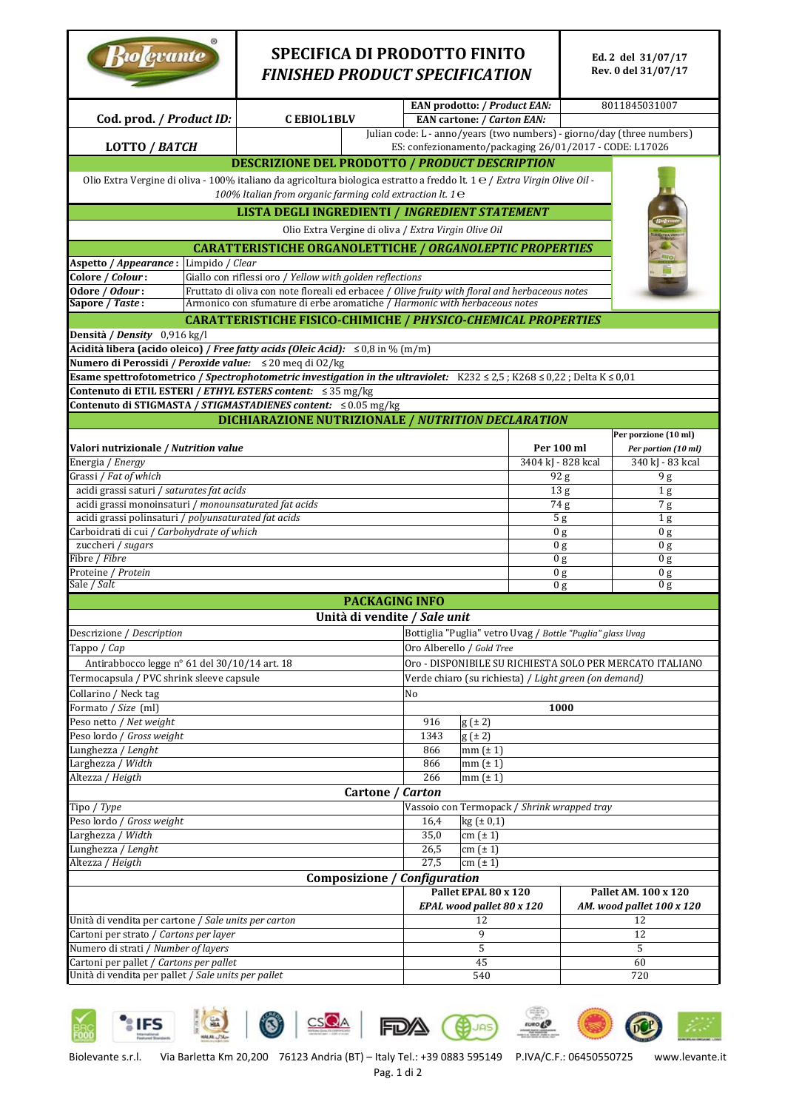| Biologrante                                                                                                                                                                            | <b>SPECIFICA DI PRODOTTO FINITO</b><br><b>FINISHED PRODUCT SPECIFICATION</b>            |                                                                                                                                   |                                  | Ed. 2 del 31/07/17<br>Rev. 0 del 31/07/17 |  |
|----------------------------------------------------------------------------------------------------------------------------------------------------------------------------------------|-----------------------------------------------------------------------------------------|-----------------------------------------------------------------------------------------------------------------------------------|----------------------------------|-------------------------------------------|--|
|                                                                                                                                                                                        |                                                                                         | <b>EAN prodotto: / Product EAN:</b>                                                                                               |                                  | 8011845031007                             |  |
| Cod. prod. / Product ID:                                                                                                                                                               | <b>CEBIOL1BLV</b>                                                                       | <b>EAN cartone: / Carton EAN:</b>                                                                                                 |                                  |                                           |  |
| <b>LOTTO / BATCH</b>                                                                                                                                                                   |                                                                                         | Julian code: L - anno/years (two numbers) - giorno/day (three numbers)<br>ES: confezionamento/packaging 26/01/2017 - CODE: L17026 |                                  |                                           |  |
| <b>DESCRIZIONE DEL PRODOTTO / PRODUCT DESCRIPTION</b>                                                                                                                                  |                                                                                         |                                                                                                                                   |                                  |                                           |  |
| Olio Extra Vergine di oliva - 100% italiano da agricoltura biologica estratto a freddo lt. 1 e / Extra Virgin Olive Oil -<br>100% Italian from organic farming cold extraction lt. 1 e |                                                                                         |                                                                                                                                   |                                  |                                           |  |
| <b>LISTA DEGLI INGREDIENTI / INGREDIENT STATEMENT</b>                                                                                                                                  |                                                                                         |                                                                                                                                   |                                  |                                           |  |
|                                                                                                                                                                                        |                                                                                         |                                                                                                                                   |                                  |                                           |  |
| Olio Extra Vergine di oliva / Extra Virgin Olive Oil                                                                                                                                   |                                                                                         |                                                                                                                                   |                                  |                                           |  |
| <b>CARATTERISTICHE ORGANOLETTICHE / ORGANOLEPTIC PROPERTIES</b><br><b>BIO</b><br>Aspetto / Appearance : Limpido / Clear                                                                |                                                                                         |                                                                                                                                   |                                  |                                           |  |
| E<br>Colore / Colour:<br>Giallo con riflessi oro / Yellow with golden reflections                                                                                                      |                                                                                         |                                                                                                                                   |                                  |                                           |  |
| Odore / Odour:<br>Fruttato di oliva con note floreali ed erbacee / Olive fruity with floral and herbaceous notes                                                                       |                                                                                         |                                                                                                                                   |                                  |                                           |  |
| Armonico con sfumature di erbe aromatiche / Harmonic with herbaceous notes<br>Sapore / Taste:                                                                                          |                                                                                         |                                                                                                                                   |                                  |                                           |  |
| CARATTERISTICHE FISICO-CHIMICHE / PHYSICO-CHEMICAL PROPERTIES                                                                                                                          |                                                                                         |                                                                                                                                   |                                  |                                           |  |
| Densità / Density 0,916 kg/l                                                                                                                                                           |                                                                                         |                                                                                                                                   |                                  |                                           |  |
| Acidità libera (acido oleico) / Free fatty acids (Oleic Acid): $\leq 0.8$ in % (m/m)<br>Numero di Perossidi / Peroxide value: ≤ 20 meg di 02/kg                                        |                                                                                         |                                                                                                                                   |                                  |                                           |  |
| Esame spettrofotometrico / Spectrophotometric investigation in the ultraviolet: $K232 \le 2.5$ ; $K268 \le 0.22$ ; Delta K $\le 0.01$                                                  |                                                                                         |                                                                                                                                   |                                  |                                           |  |
| Contenuto di ETIL ESTERI / ETHYL ESTERS content: ≤ 35 mg/kg                                                                                                                            |                                                                                         |                                                                                                                                   |                                  |                                           |  |
| Contenuto di STIGMASTA / STIGMASTADIENES content: ≤ 0.05 mg/kg                                                                                                                         |                                                                                         |                                                                                                                                   |                                  |                                           |  |
| DICHIARAZIONE NUTRIZIONALE / NUTRITION DECLARATION                                                                                                                                     |                                                                                         |                                                                                                                                   |                                  |                                           |  |
|                                                                                                                                                                                        |                                                                                         |                                                                                                                                   | Per 100 ml                       | Per porzione (10 ml)                      |  |
| Valori nutrizionale / Nutrition value<br>Energia / Energy                                                                                                                              |                                                                                         |                                                                                                                                   | 3404 kJ - 828 kcal               | Per portion (10 ml)<br>340 kJ - 83 kcal   |  |
| Grassi / Fat of which                                                                                                                                                                  |                                                                                         |                                                                                                                                   | 92 g                             | 9 g                                       |  |
| acidi grassi saturi / saturates fat acids                                                                                                                                              |                                                                                         |                                                                                                                                   | 13 <sub>g</sub>                  | 1 <sub>g</sub>                            |  |
| acidi grassi monoinsaturi / monounsaturated fat acids                                                                                                                                  |                                                                                         |                                                                                                                                   | 74 g                             | 7g                                        |  |
| acidi grassi polinsaturi / polyunsaturated fat acids                                                                                                                                   |                                                                                         |                                                                                                                                   | 5 <sub>g</sub>                   | 1 <sub>g</sub>                            |  |
| Carboidrati di cui / Carbohydrate of which<br>zuccheri / sugars                                                                                                                        |                                                                                         |                                                                                                                                   | 0 <sub>g</sub><br>0 <sub>g</sub> | 0 <sub>g</sub><br>0 g                     |  |
| Fibre / Fibre                                                                                                                                                                          |                                                                                         |                                                                                                                                   | 0 g                              | 0 <sub>g</sub>                            |  |
| Proteine / Protein                                                                                                                                                                     |                                                                                         |                                                                                                                                   | 0 <sub>g</sub>                   | 0 <sub>g</sub>                            |  |
| Sale / <i>Salt</i>                                                                                                                                                                     |                                                                                         | 0 <sub>g</sub>                                                                                                                    | 0 g                              |                                           |  |
| <b>PACKAGING INFO</b>                                                                                                                                                                  |                                                                                         |                                                                                                                                   |                                  |                                           |  |
| Unità di vendite / Sale unit                                                                                                                                                           |                                                                                         |                                                                                                                                   |                                  |                                           |  |
| Descrizione / Description<br>Tappo / Cap                                                                                                                                               | Bottiglia "Puglia" vetro Uvag / Bottle "Puglia" glass Uvag<br>Oro Alberello / Gold Tree |                                                                                                                                   |                                  |                                           |  |
| Antirabbocco legge nº 61 del 30/10/14 art. 18                                                                                                                                          | Oro - DISPONIBILE SU RICHIESTA SOLO PER MERCATO ITALIANO                                |                                                                                                                                   |                                  |                                           |  |
| Termocapsula / PVC shrink sleeve capsule                                                                                                                                               |                                                                                         | Verde chiaro (su richiesta) / Light green (on demand)                                                                             |                                  |                                           |  |
| Collarino / Neck tag<br>No                                                                                                                                                             |                                                                                         |                                                                                                                                   |                                  |                                           |  |
| Formato / Size (ml)                                                                                                                                                                    |                                                                                         |                                                                                                                                   | 1000                             |                                           |  |
| Peso netto / Net weight                                                                                                                                                                |                                                                                         | 916<br>$g(\pm 2)$                                                                                                                 |                                  |                                           |  |
| Peso lordo / Gross weight                                                                                                                                                              |                                                                                         | 1343<br>$g(\pm 2)$                                                                                                                |                                  |                                           |  |
| Lunghezza / Lenght<br>Larghezza / Width                                                                                                                                                |                                                                                         | 866<br>$mm(\pm 1)$<br>866<br>$mm(\pm 1)$                                                                                          |                                  |                                           |  |
| Altezza / Heigth                                                                                                                                                                       | 266<br>$mm(\pm 1)$                                                                      |                                                                                                                                   |                                  |                                           |  |
| Cartone / Carton                                                                                                                                                                       |                                                                                         |                                                                                                                                   |                                  |                                           |  |
| Tipo / Type<br>Vassoio con Termopack / Shrink wrapped tray                                                                                                                             |                                                                                         |                                                                                                                                   |                                  |                                           |  |
| Peso lordo / Gross weight<br>kg (± 0,1)<br>16,4                                                                                                                                        |                                                                                         |                                                                                                                                   |                                  |                                           |  |
| Larghezza / Width<br>35,0<br>$cm (\pm 1)$<br>Lunghezza / Lenght<br>26,5<br>$cm (\pm 1)$                                                                                                |                                                                                         |                                                                                                                                   |                                  |                                           |  |
| 27,5<br>Altezza / Heigth<br>$cm (\pm 1)$                                                                                                                                               |                                                                                         |                                                                                                                                   |                                  |                                           |  |
| Composizione / Configuration                                                                                                                                                           |                                                                                         |                                                                                                                                   |                                  |                                           |  |
| Pallet EPAL 80 x 120<br>Pallet AM. 100 x 120                                                                                                                                           |                                                                                         |                                                                                                                                   |                                  |                                           |  |
|                                                                                                                                                                                        |                                                                                         | EPAL wood pallet 80 x 120                                                                                                         |                                  | AM. wood pallet 100 x 120                 |  |
| Unità di vendita per cartone / Sale units per carton                                                                                                                                   |                                                                                         | 12                                                                                                                                | 12                               |                                           |  |
| Cartoni per strato / Cartons per layer<br>Numero di strati / Number of layers                                                                                                          |                                                                                         | 9<br>5                                                                                                                            | 12<br>5                          |                                           |  |
|                                                                                                                                                                                        |                                                                                         |                                                                                                                                   |                                  |                                           |  |
| Cartoni per pallet / Cartons per pallet                                                                                                                                                |                                                                                         | 45                                                                                                                                |                                  | 60                                        |  |



Biolevante s.r.l. Via Barletta Km 20,200 76123 Andria (BT) – Italy Tel.: +39 0883 595149 P.IVA/C.F.: 06450550725 www.levante.it